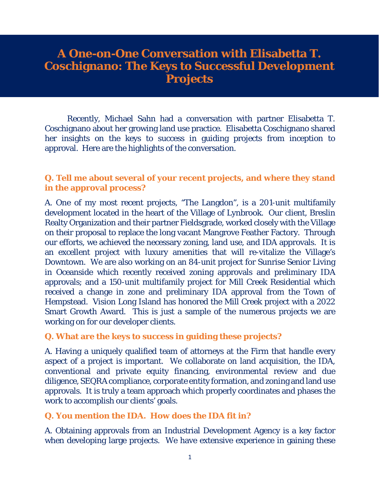# **A One-on-One Conversation with Elisabetta T. Coschignano: The Keys to Successful Development Projects**

Recently, Michael Sahn had a conversation with partner Elisabetta T. Coschignano about her growing land use practice. Elisabetta Coschignano shared her insights on the keys to success in guiding projects from inception to approval. Here are the highlights of the conversation.

### **Q. Tell me about several of your recent projects, and where they stand in the approval process?**

A. One of my most recent projects, "The Langdon", is a 201-unit multifamily development located in the heart of the Village of Lynbrook. Our client, Breslin Realty Organization and their partner Fieldsgrade, worked closely with the Village on their proposal to replace the long vacant Mangrove Feather Factory. Through our efforts, we achieved the necessary zoning, land use, and IDA approvals. It is an excellent project with luxury amenities that will re-vitalize the Village's Downtown. We are also working on an 84-unit project for Sunrise Senior Living in Oceanside which recently received zoning approvals and preliminary IDA approvals; and a 150-unit multifamily project for Mill Creek Residential which received a change in zone and preliminary IDA approval from the Town of Hempstead. Vision Long Island has honored the Mill Creek project with a 2022 Smart Growth Award. This is just a sample of the numerous projects we are working on for our developer clients.

#### **Q. What are the keys to success in guiding these projects?**

A. Having a uniquely qualified team of attorneys at the Firm that handle every aspect of a project is important. We collaborate on land acquisition, the IDA, conventional and private equity financing, environmental review and due diligence, SEQRA compliance, corporate entity formation, and zoning and land use approvals. It is truly a team approach which properly coordinates and phases the work to accomplish our clients' goals.

#### **Q. You mention the IDA. How does the IDA fit in?**

A. Obtaining approvals from an Industrial Development Agency is a key factor when developing large projects. We have extensive experience in gaining these